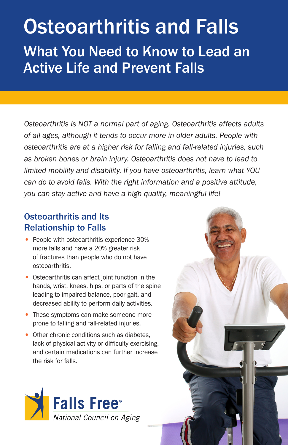# Osteoarthritis and Falls What You Need to Know to Lead an Active Life and Prevent Falls

*Osteoarthritis is NOT a normal part of aging. Osteoarthritis affects adults of all ages, although it tends to occur more in older adults. People with osteoarthritis are at a higher risk for falling and fall-related injuries, such as broken bones or brain injury. Osteoarthritis does not have to lead to limited mobility and disability. If you have osteoarthritis, learn what YOU can do to avoid falls. With the right information and a positive attitude, you can stay active and have a high quality, meaningful life!*

## Osteoarthritis and Its Relationship to Falls

- People with osteoarthritis experience 30% more falls and have a 20% greater risk of fractures than people who do not have osteoarthritis.
- Osteoarthritis can affect joint function in the hands, wrist, knees, hips, or parts of the spine leading to impaired balance, poor gait, and decreased ability to perform daily activities.
- These symptoms can make someone more prone to falling and fall-related injuries.
- Other chronic conditions such as diabetes, lack of physical activity or difficulty exercising, and certain medications can further increase the risk for falls.

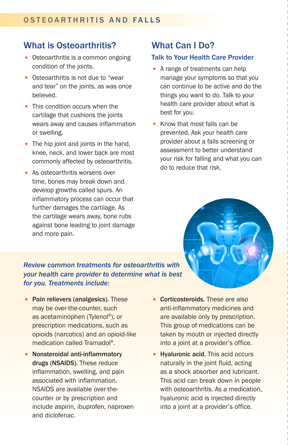## What is Osteoarthritis?

- Osteoarthritis is a common ongoing condition of the joints.
- Osteoarthritis is not due to "wear and tear" on the joints, as was once believed.
- This condition occurs when the cartilage that cushions the joints wears away and causes inflammation or swelling.
- The hip joint and joints in the hand, knee, neck, and lower back are most commonly affected by osteoarthritis.
- As osteoarthritis worsens over time, bones may break down and develop growths called spurs. An inflammatory process can occur that further damages the cartilage. As the cartilage wears away, bone rubs against bone leading to joint damage and more pain.

## What Can I Do?

#### Talk to Your Health Care Provider

- A range of treatments can help manage your symptoms so that you can continue to be active and do the things you want to do. Talk to your health care provider about what is best for you.
- Know that most falls can be prevented. Ask your health care provider about a falls screening or assessment to better understand your risk for falling and what you can do to reduce that risk.

### *Review common treatments for osteoarthritis with your health care provider to determine what is best for you. Treatments include:*

- Pain relievers (analgesics). These Corticosteroids. These are also may be over-the-counter, such as acetaminophen (Tylenol®), or prescription medications, such as opioids (narcotics) and an opioid-like medication called Tramadol®.
- Nonsteroidal anti-inflammatory drugs (NSAIDS). These reduce inflammation, swelling, and pain associated with inflammation. NSAIDS are available over-thecounter or by prescription and include aspirin, ibuprofen, naproxen and diclofenac.
- anti-inflammatory medicines and are available only by prescription. This group of medications can be taken by mouth or injected directly into a joint at a provider's office.
- Hyaluronic acid. This acid occurs naturally in the joint fluid, acting as a shock absorber and lubricant. This acid can break down in people with osteoarthritis. As a medication, hyaluronic acid is injected directly into a joint at a provider's office.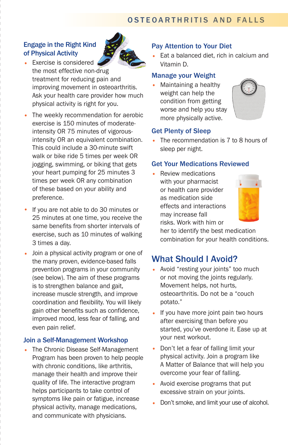## Engage in the Right Kind of Physical Activity



- Exercise is considered the most effective non-drug treatment for reducing pain and improving movement in osteoarthritis. Ask your health care provider how much physical activity is right for you.
- The weekly recommendation for aerobic exercise is 150 minutes of moderateintensity OR 75 minutes of vigorousintensity OR an equivalent combination. This could include a 30-minute swift walk or bike ride 5 times per week OR jogging, swimming, or biking that gets your heart pumping for 25 minutes 3 times per week OR any combination of these based on your ability and preference.
- If you are not able to do 30 minutes or 25 minutes at one time, you receive the same benefits from shorter intervals of exercise, such as 10 minutes of walking 3 times a day.
- Join a physical activity program or one of the many proven, evidence-based falls prevention programs in your community (see below). The aim of these programs is to strengthen balance and gait, increase muscle strength, and improve coordination and flexibility. You will likely gain other benefits such as confidence, improved mood, less fear of falling, and even pain relief.

#### Join a Self-Management Workshop

• The Chronic Disease Self-Management Program has been proven to help people with chronic conditions, like arthritis, manage their health and improve their quality of life. The interactive program helps participants to take control of symptoms like pain or fatigue, increase physical activity, manage medications, and communicate with physicians.

## Pay Attention to Your Diet

• Eat a balanced diet, rich in calcium and Vitamin D.

#### Manage your Weight

• Maintaining a healthy weight can help the condition from getting worse and help you stay more physically active.



#### Get Plenty of Sleep

• The recommendation is 7 to 8 hours of sleep per night.

#### Get Your Medications Reviewed

• Review medications with your pharmacist or health care provider as medication side effects and interactions may increase fall risks. Work with him or



her to identify the best medication combination for your health conditions.

## What Should I Avoid?

- Avoid "resting your joints" too much or not moving the joints regularly. Movement helps, not hurts, osteoarthritis. Do not be a "couch potato."
- If you have more joint pain two hours after exercising than before you started, you've overdone it. Ease up at your next workout.
- Don't let a fear of falling limit your physical activity. Join a program like A Matter of Balance that will help you overcome your fear of falling.
- Avoid exercise programs that put excessive strain on your joints.
- Don't smoke, and limit your use of alcohol.